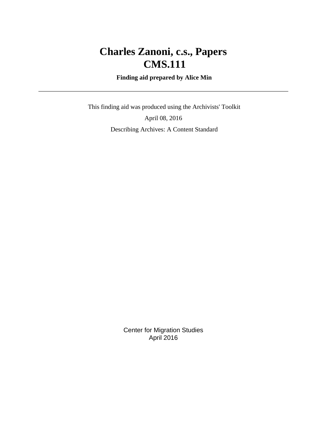# **Charles Zanoni, c.s., Papers CMS.111**

 **Finding aid prepared by Alice Min**

 This finding aid was produced using the Archivists' Toolkit April 08, 2016 Describing Archives: A Content Standard

> Center for Migration Studies April 2016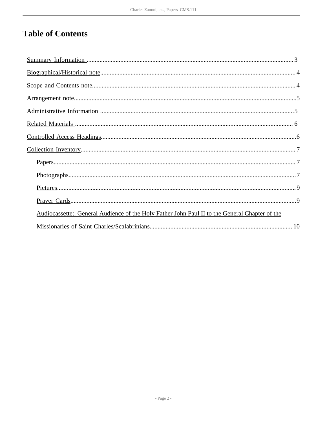# **Table of Contents**

| Audiocassette: General Audience of the Holy Father John Paul II to the General Chapter of the |
|-----------------------------------------------------------------------------------------------|
|                                                                                               |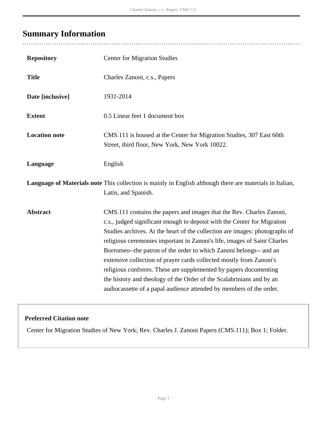# <span id="page-2-0"></span>**Summary Information**

| <b>Repository</b>    | <b>Center for Migration Studies</b>                                                                                                                                                                                                                                                                                                                                                                                                                                                                                                                                                                                                                                          |
|----------------------|------------------------------------------------------------------------------------------------------------------------------------------------------------------------------------------------------------------------------------------------------------------------------------------------------------------------------------------------------------------------------------------------------------------------------------------------------------------------------------------------------------------------------------------------------------------------------------------------------------------------------------------------------------------------------|
| <b>Title</b>         | Charles Zanoni, c.s., Papers                                                                                                                                                                                                                                                                                                                                                                                                                                                                                                                                                                                                                                                 |
| Date [inclusive]     | 1931-2014                                                                                                                                                                                                                                                                                                                                                                                                                                                                                                                                                                                                                                                                    |
| <b>Extent</b>        | 0.5 Linear feet 1 document box                                                                                                                                                                                                                                                                                                                                                                                                                                                                                                                                                                                                                                               |
| <b>Location note</b> | CMS.111 is housed at the Center for Migration Studies, 307 East 60th<br>Street, third floor, New York, New York 10022.                                                                                                                                                                                                                                                                                                                                                                                                                                                                                                                                                       |
| Language             | English                                                                                                                                                                                                                                                                                                                                                                                                                                                                                                                                                                                                                                                                      |
|                      | Language of Materials note This collection is mainly in English although there are materials in Italian,<br>Latin, and Spanish.                                                                                                                                                                                                                                                                                                                                                                                                                                                                                                                                              |
| <b>Abstract</b>      | CMS.111 contains the papers and images that the Rev. Charles Zanoni,<br>c.s., judged significant enough to deposit with the Center for Migration<br>Studies archives. At the heart of the collection are images: photographs of<br>religious ceremonies important in Zanoni's life, images of Saint Charles<br>Borromeo--the patron of the order to which Zanoni belongs-- and an<br>extensive collection of prayer cards collected mostly from Zanoni's<br>religious confreres. These are supplemented by papers documenting<br>the history and theology of the Order of the Scalabrinians and by an<br>audiocassette of a papal audience attended by members of the order. |

### **Preferred Citation note**

Center for Migration Studies of New York; Rev. Charles J. Zanoni Papers (CMS.111); Box 1; Folder.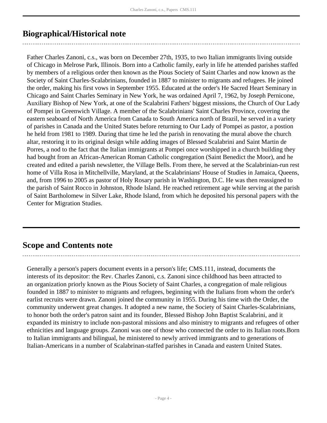## <span id="page-3-0"></span>**Biographical/Historical note**

Father Charles Zanoni, c.s., was born on December 27th, 1935, to two Italian immigrants living outside of Chicago in Melrose Park, Illinois. Born into a Catholic family, early in life he attended parishes staffed by members of a religious order then known as the Pious Society of Saint Charles and now known as the Society of Saint Charles-Scalabrinians, founded in 1887 to minister to migrants and refugees. He joined the order, making his first vows in September 1955. Educated at the order's He Sacred Heart Seminary in Chicago and Saint Charles Seminary in New York, he was ordained April 7, 1962, by Joseph Pernicone, Auxiliary Bishop of New York, at one of the Scalabrini Fathers' biggest missions, the Church of Our Lady of Pompei in Greenwich Village. A member of the Scalabrinians' Saint Charles Province, covering the eastern seaboard of North America from Canada to South America north of Brazil, he served in a variety of parishes in Canada and the United States before returning to Our Lady of Pompei as pastor, a postion he held from 1981 to 1989. During that time he led the parish in renovating the mural above the church altar, restoring it to its original design while adding images of Blessed Scalabrini and Saint Martin de Porres, a nod to the fact that the Italian immigrants at Pompei once worshipped in a church building they had bought from an African-American Roman Catholic congregation (Saint Benedict the Moor), and he created and edited a parish newsletter, the Village Bells. From there, he served at the Scalabrinian-run rest home of Villa Rosa in Mitchellville, Maryland, at the Scalabrinians' House of Studies in Jamaica, Queens, and, from 1996 to 2005 as pastor of Holy Rosary parish in Washington, D.C. He was then reassigned to the parish of Saint Rocco in Johnston, Rhode Island. He reached retirement age while serving at the parish of Saint Bartholomew in Silver Lake, Rhode Island, from which he deposited his personal papers with the Center for Migration Studies.

## <span id="page-3-1"></span>**Scope and Contents note**

Generally a person's papers document events in a person's life; CMS.111, instead, documents the interests of its depositor: the Rev. Charles Zanoni, c.s. Zanoni since childhood has been attracted to an organization priorly known as the Pious Society of Saint Charles, a congregation of male religious founded in 1887 to minister to migrants and refugees, beginning with the Italians from whom the order's earlist recruits were drawn. Zanoni joined the community in 1955. During his time with the Order, the community underwent great changes. It adopted a new name, the Society of Saint Charles-Scalabrinians, to honor both the order's patron saint and its founder, Blessed Bishop John Baptist Scalabrini, and it expanded its ministry to include non-pastoral missions and also ministry to migrants and refugees of other ethnicities and language groups. Zanoni was one of those who connected the order to its Italian roots.Born to Italian immigrants and bilingual, he ministered to newly arrived immigrants and to generations of Italian-Americans in a number of Scalabrinan-staffed parishes in Canada and eastern United States.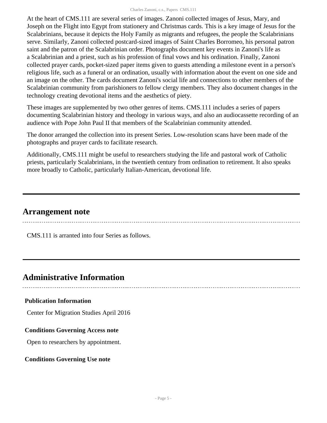At the heart of CMS.111 are several series of images. Zanoni collected images of Jesus, Mary, and Joseph on the Flight into Egypt from stationery and Christmas cards. This is a key image of Jesus for the Scalabrinians, because it depicts the Holy Family as migrants and refugees, the people the Scalabrinians serve. Similarly, Zanoni collected postcard-sized images of Saint Charles Borromeo, his personal patron saint and the patron of the Scalabrinian order. Photographs document key events in Zanoni's life as a Scalabrinian and a priest, such as his profession of final vows and his ordination. Finally, Zanoni collected prayer cards, pocket-sized paper items given to guests attending a milestone event in a person's religious life, such as a funeral or an ordination, usually with information about the event on one side and an image on the other. The cards document Zanoni's social life and connections to other members of the Scalabrinian community from parishioners to fellow clergy members. They also document changes in the technology creating devotional items and the aesthetics of piety.

These images are supplemented by two other genres of items. CMS.111 includes a series of papers documenting Scalabrinian history and theology in various ways, and also an audiocassette recording of an audience with Pope John Paul II that members of the Scalabrinian community attended.

The donor arranged the collection into its present Series. Low-resolution scans have been made of the photographs and prayer cards to facilitate research.

Additionally, CMS.111 might be useful to researchers studying the life and pastoral work of Catholic priests, particularly Scalabrinians, in the twentieth century from ordination to retirement. It also speaks more broadly to Catholic, particularly Italian-American, devotional life.

### <span id="page-4-0"></span>**Arrangement note**

CMS.111 is arranted into four Series as follows.

## <span id="page-4-1"></span>**Administrative Information**

#### **Publication Information**

Center for Migration Studies April 2016

#### **Conditions Governing Access note**

Open to researchers by appointment.

#### **Conditions Governing Use note**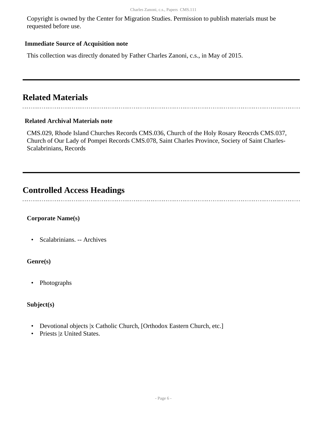Copyright is owned by the Center for Migration Studies. Permission to publish materials must be requested before use.

#### **Immediate Source of Acquisition note**

This collection was directly donated by Father Charles Zanoni, c.s., in May of 2015.

## <span id="page-5-0"></span>**Related Materials**

#### **Related Archival Materials note**

CMS.029, Rhode Island Churches Records CMS.036, Church of the Holy Rosary Reocrds CMS.037, Church of Our Lady of Pompei Records CMS.078, Saint Charles Province, Society of Saint Charles-Scalabrinians, Records

### <span id="page-5-1"></span>**Controlled Access Headings**

#### **Corporate Name(s)**

• Scalabrinians. -- Archives

#### **Genre(s)**

• Photographs

#### **Subject(s)**

- Devotional objects |x Catholic Church, [Orthodox Eastern Church, etc.]
- Priests |z United States.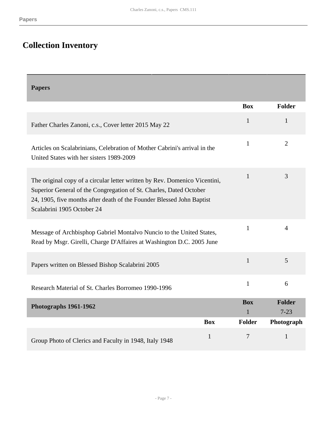# <span id="page-6-0"></span>**Collection Inventory**

<span id="page-6-2"></span><span id="page-6-1"></span>

| <b>Papers</b>                                                                                                                                                                                                                                           |                            |                           |
|---------------------------------------------------------------------------------------------------------------------------------------------------------------------------------------------------------------------------------------------------------|----------------------------|---------------------------|
|                                                                                                                                                                                                                                                         | <b>Box</b>                 | <b>Folder</b>             |
| Father Charles Zanoni, c.s., Cover letter 2015 May 22                                                                                                                                                                                                   | $\mathbf{1}$               | 1                         |
| Articles on Scalabrinians, Celebration of Mother Cabrini's arrival in the<br>United States with her sisters 1989-2009                                                                                                                                   | $\mathbf{1}$               | $\overline{2}$            |
| The original copy of a circular letter written by Rev. Domenico Vicentini,<br>Superior General of the Congregation of St. Charles, Dated October<br>24, 1905, five months after death of the Founder Blessed John Baptist<br>Scalabrini 1905 October 24 | $\mathbf{1}$               | 3                         |
| Message of Archbisphop Gabriel Montalvo Nuncio to the United States,<br>Read by Msgr. Girelli, Charge D'Affaires at Washington D.C. 2005 June                                                                                                           | 1                          | $\overline{4}$            |
| Papers written on Blessed Bishop Scalabrini 2005                                                                                                                                                                                                        | $\mathbf{1}$               | 5                         |
| Research Material of St. Charles Borromeo 1990-1996                                                                                                                                                                                                     | $\mathbf{1}$               | 6                         |
| Photographs 1961-1962                                                                                                                                                                                                                                   | <b>Box</b><br>$\mathbf{1}$ | <b>Folder</b><br>$7 - 23$ |
| <b>Box</b>                                                                                                                                                                                                                                              | <b>Folder</b>              | Photograph                |
| $\mathbf{1}$<br>Group Photo of Clerics and Faculty in 1948, Italy 1948                                                                                                                                                                                  | 7                          | $\mathbf{1}$              |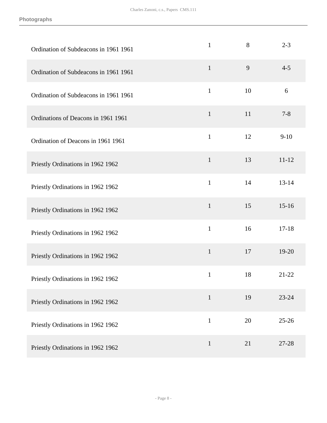| Ordination of Subdeacons in 1961 1961 | $\mathbf{1}$ | 8  | $2 - 3$   |
|---------------------------------------|--------------|----|-----------|
| Ordination of Subdeacons in 1961 1961 | $\mathbf{1}$ | 9  | $4 - 5$   |
| Ordination of Subdeacons in 1961 1961 | $\mathbf{1}$ | 10 | $6\,$     |
| Ordinations of Deacons in 1961 1961   | $\mathbf{1}$ | 11 | $7 - 8$   |
| Ordination of Deacons in 1961 1961    | $\mathbf{1}$ | 12 | $9 - 10$  |
| Priestly Ordinations in 1962 1962     | $\mathbf{1}$ | 13 | $11 - 12$ |
| Priestly Ordinations in 1962 1962     | $\mathbf{1}$ | 14 | $13 - 14$ |
| Priestly Ordinations in 1962 1962     | $\mathbf{1}$ | 15 | $15-16$   |
| Priestly Ordinations in 1962 1962     | $\mathbf{1}$ | 16 | $17 - 18$ |
| Priestly Ordinations in 1962 1962     | $\mathbf{1}$ | 17 | 19-20     |
| Priestly Ordinations in 1962 1962     | $\mathbf{1}$ | 18 | 21-22     |
| Priestly Ordinations in 1962 1962     | $\mathbf{1}$ | 19 | 23-24     |
| Priestly Ordinations in 1962 1962     | $\mathbf{1}$ | 20 | $25 - 26$ |
| Priestly Ordinations in 1962 1962     | $\mathbf{1}$ | 21 | 27-28     |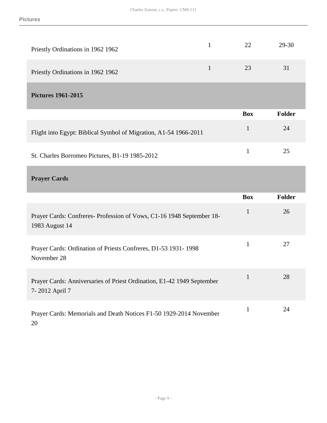<span id="page-8-0"></span>

| Priestly Ordinations in 1962 1962                                |              | 22         | 29-30         |
|------------------------------------------------------------------|--------------|------------|---------------|
| Priestly Ordinations in 1962 1962                                | $\mathbf{1}$ | 23         | 31            |
| <b>Pictures 1961-2015</b>                                        |              |            |               |
|                                                                  |              |            |               |
|                                                                  |              | <b>Box</b> | <b>Folder</b> |
| Flight into Egypt: Biblical Symbol of Migration, A1-54 1966-2011 |              | 1          | 24            |

### <span id="page-8-1"></span>**Prayer Cards**

|                                                                                          | <b>Box</b>   | Folder |
|------------------------------------------------------------------------------------------|--------------|--------|
| Prayer Cards: Confreres-Profession of Vows, C1-16 1948 September 18-<br>1983 August 14   | $\mathbf{1}$ | 26     |
| Prayer Cards: Ordination of Priests Confreres, D1-53 1931-1998<br>November 28            | 1            | 27     |
| Prayer Cards: Anniversaries of Priest Ordination, E1-42 1949 September<br>7-2012 April 7 |              | 28     |
| Prayer Cards: Memorials and Death Notices F1-50 1929-2014 November                       |              | 24     |